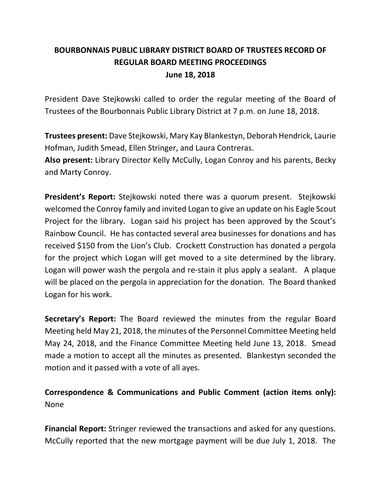# **BOURBONNAIS PUBLIC LIBRARY DISTRICT BOARD OF TRUSTEES RECORD OF REGULAR BOARD MEETING PROCEEDINGS June 18, 2018**

President Dave Stejkowski called to order the regular meeting of the Board of Trustees of the Bourbonnais Public Library District at 7 p.m. on June 18, 2018.

**Trustees present:** Dave Stejkowski, Mary Kay Blankestyn, Deborah Hendrick, Laurie Hofman, Judith Smead, Ellen Stringer, and Laura Contreras.

**Also present:** Library Director Kelly McCully, Logan Conroy and his parents, Becky and Marty Conroy.

**President's Report:** Stejkowski noted there was a quorum present. Stejkowski welcomed the Conroy family and invited Logan to give an update on his Eagle Scout Project for the library. Logan said his project has been approved by the Scout's Rainbow Council. He has contacted several area businesses for donations and has received \$150 from the Lion's Club. Crockett Construction has donated a pergola for the project which Logan will get moved to a site determined by the library. Logan will power wash the pergola and re-stain it plus apply a sealant. A plaque will be placed on the pergola in appreciation for the donation. The Board thanked Logan for his work.

**Secretary's Report:** The Board reviewed the minutes from the regular Board Meeting held May 21, 2018, the minutes of the Personnel Committee Meeting held May 24, 2018, and the Finance Committee Meeting held June 13, 2018. Smead made a motion to accept all the minutes as presented. Blankestyn seconded the motion and it passed with a vote of all ayes.

**Correspondence & Communications and Public Comment (action items only):** None

**Financial Report:** Stringer reviewed the transactions and asked for any questions. McCully reported that the new mortgage payment will be due July 1, 2018. The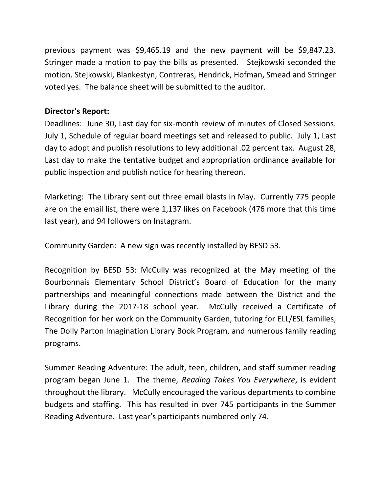previous payment was \$9,465.19 and the new payment will be \$9,847.23. Stringer made a motion to pay the bills as presented. Stejkowski seconded the motion. Stejkowski, Blankestyn, Contreras, Hendrick, Hofman, Smead and Stringer voted yes. The balance sheet will be submitted to the auditor.

## **Director's Report:**

Deadlines: June 30, Last day for six-month review of minutes of Closed Sessions. July 1, Schedule of regular board meetings set and released to public. July 1, Last day to adopt and publish resolutions to levy additional .02 percent tax. August 28, Last day to make the tentative budget and appropriation ordinance available for public inspection and publish notice for hearing thereon.

Marketing: The Library sent out three email blasts in May. Currently 775 people are on the email list, there were 1,137 likes on Facebook (476 more that this time last year), and 94 followers on Instagram.

Community Garden: A new sign was recently installed by BESD 53.

Recognition by BESD 53: McCully was recognized at the May meeting of the Bourbonnais Elementary School District's Board of Education for the many partnerships and meaningful connections made between the District and the Library during the 2017-18 school year. McCully received a Certificate of Recognition for her work on the Community Garden, tutoring for ELL/ESL families, The Dolly Parton Imagination Library Book Program, and numerous family reading programs.

Summer Reading Adventure: The adult, teen, children, and staff summer reading program began June 1. The theme, *Reading Takes You Everywhere*, is evident throughout the library. McCully encouraged the various departments to combine budgets and staffing. This has resulted in over 745 participants in the Summer Reading Adventure. Last year's participants numbered only 74.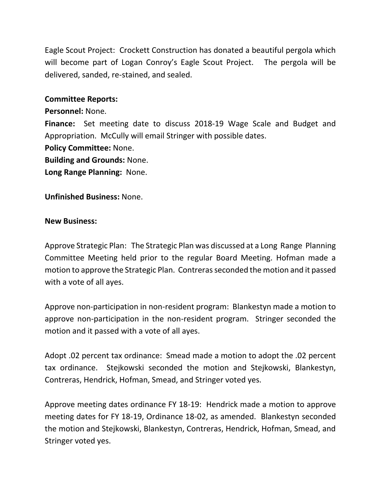Eagle Scout Project: Crockett Construction has donated a beautiful pergola which will become part of Logan Conroy's Eagle Scout Project. The pergola will be delivered, sanded, re-stained, and sealed.

### **Committee Reports:**

**Personnel:** None. **Finance:** Set meeting date to discuss 2018-19 Wage Scale and Budget and Appropriation. McCully will email Stringer with possible dates. **Policy Committee:** None. **Building and Grounds:** None.

**Long Range Planning:** None.

**Unfinished Business:** None.

#### **New Business:**

Approve Strategic Plan: The Strategic Plan was discussed at a Long Range Planning Committee Meeting held prior to the regular Board Meeting. Hofman made a motion to approve the Strategic Plan. Contreras seconded the motion and it passed with a vote of all ayes.

Approve non-participation in non-resident program: Blankestyn made a motion to approve non-participation in the non-resident program. Stringer seconded the motion and it passed with a vote of all ayes.

Adopt .02 percent tax ordinance: Smead made a motion to adopt the .02 percent tax ordinance. Stejkowski seconded the motion and Stejkowski, Blankestyn, Contreras, Hendrick, Hofman, Smead, and Stringer voted yes.

Approve meeting dates ordinance FY 18-19: Hendrick made a motion to approve meeting dates for FY 18-19, Ordinance 18-02, as amended. Blankestyn seconded the motion and Stejkowski, Blankestyn, Contreras, Hendrick, Hofman, Smead, and Stringer voted yes.